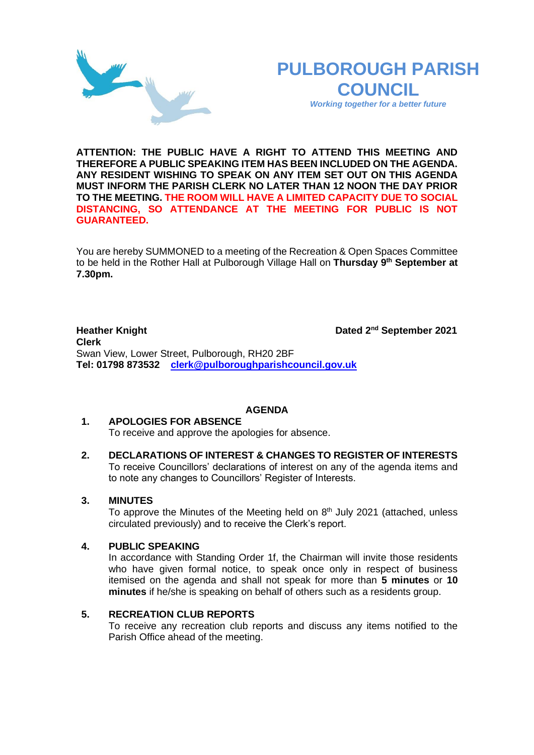# **PULBOROUGH PARISH COUNCIL**

*Working together for a better future*

**ATTENTION: THE PUBLIC HAVE A RIGHT TO ATTEND THIS MEETING AND THEREFORE A PUBLIC SPEAKING ITEM HAS BEEN INCLUDED ON THE AGENDA. ANY RESIDENT WISHING TO SPEAK ON ANY ITEM SET OUT ON THIS AGENDA MUST INFORM THE PARISH CLERK NO LATER THAN 12 NOON THE DAY PRIOR TO THE MEETING. THE ROOM WILL HAVE A LIMITED CAPACITY DUE TO SOCIAL DISTANCING, SO ATTENDANCE AT THE MEETING FOR PUBLIC IS NOT GUARANTEED.**

You are hereby SUMMONED to a meeting of the Recreation & Open Spaces Committee to be held in the Rother Hall at Pulborough Village Hall on **Thursday 9 th September at 7.30pm.** 

**Heather Knight** Dated 2<sup>nd</sup> September 2021 **Clerk**  Swan View, Lower Street, Pulborough, RH20 2BF **Tel: 01798 873532 [clerk@pulboroughparishcouncil.gov.uk](mailto:clerk@pulboroughparishcouncil.gov.uk)**

# **AGENDA**

# **1. APOLOGIES FOR ABSENCE**

To receive and approve the apologies for absence.

**2. DECLARATIONS OF INTEREST & CHANGES TO REGISTER OF INTERESTS** To receive Councillors' declarations of interest on any of the agenda items and to note any changes to Councillors' Register of Interests.

# **3. MINUTES**

To approve the Minutes of the Meeting held on  $8<sup>th</sup>$  July 2021 (attached, unless circulated previously) and to receive the Clerk's report.

### **4. PUBLIC SPEAKING**

In accordance with Standing Order 1f, the Chairman will invite those residents who have given formal notice, to speak once only in respect of business itemised on the agenda and shall not speak for more than **5 minutes** or **10 minutes** if he/she is speaking on behalf of others such as a residents group.

### **5. RECREATION CLUB REPORTS**

To receive any recreation club reports and discuss any items notified to the Parish Office ahead of the meeting.